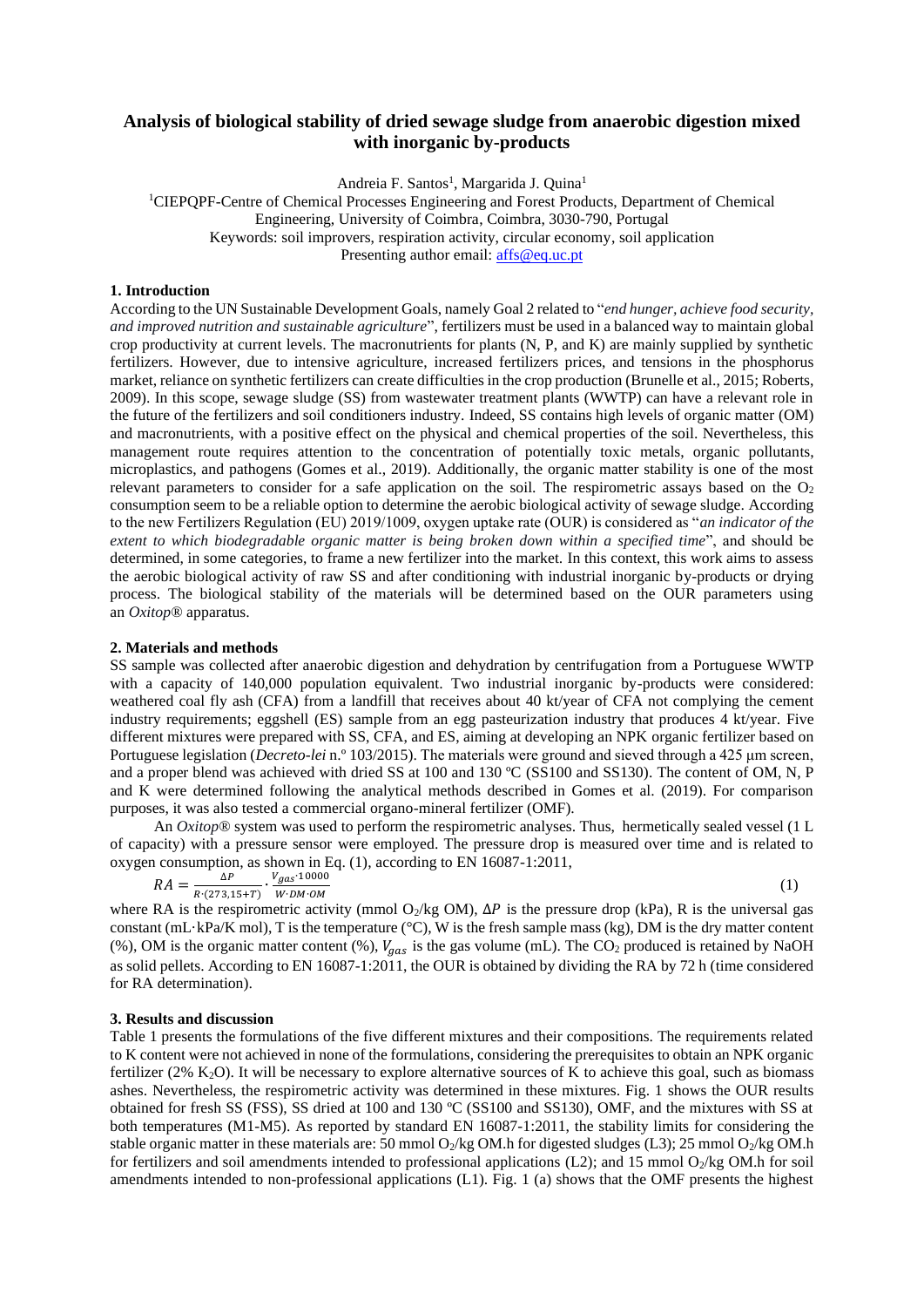# **Analysis of biological stability of dried sewage sludge from anaerobic digestion mixed with inorganic by-products**

Andreia F. Santos<sup>1</sup>, Margarida J. Quina<sup>1</sup>

<sup>1</sup>CIEPQPF-Centre of Chemical Processes Engineering and Forest Products, Department of Chemical Engineering, University of Coimbra, Coimbra, 3030-790, Portugal Keywords: soil improvers, respiration activity, circular economy, soil application Presenting author email: [affs@](mailto:affs)eq.uc.pt

### **1. Introduction**

According to the UN Sustainable Development Goals, namely Goal 2 related to "*end hunger, achieve food security, and improved nutrition and sustainable agriculture*", fertilizers must be used in a balanced way to maintain global crop productivity at current levels. The macronutrients for plants (N, P, and K) are mainly supplied by synthetic fertilizers. However, due to intensive agriculture, increased fertilizers prices, and tensions in the phosphorus market, reliance on synthetic fertilizers can create difficulties in the crop production (Brunelle et al., 2015; Roberts, 2009). In this scope, sewage sludge (SS) from wastewater treatment plants (WWTP) can have a relevant role in the future of the fertilizers and soil conditioners industry. Indeed, SS contains high levels of organic matter (OM) and macronutrients, with a positive effect on the physical and chemical properties of the soil. Nevertheless, this management route requires attention to the concentration of potentially toxic metals, organic pollutants, microplastics, and pathogens (Gomes et al., 2019). Additionally, the organic matter stability is one of the most relevant parameters to consider for a safe application on the soil. The respirometric assays based on the  $O<sub>2</sub>$ consumption seem to be a reliable option to determine the aerobic biological activity of sewage sludge. According to the new Fertilizers Regulation (EU) 2019/1009, oxygen uptake rate (OUR) is considered as "*an indicator of the extent to which biodegradable organic matter is being broken down within a specified time*", and should be determined, in some categories, to frame a new fertilizer into the market. In this context, this work aims to assess the aerobic biological activity of raw SS and after conditioning with industrial inorganic by-products or drying process. The biological stability of the materials will be determined based on the OUR parameters using an *Oxitop*® apparatus.

#### **2. Materials and methods**

SS sample was collected after anaerobic digestion and dehydration by centrifugation from a Portuguese WWTP with a capacity of 140,000 population equivalent. Two industrial inorganic by-products were considered: weathered coal fly ash (CFA) from a landfill that receives about 40 kt/year of CFA not complying the cement industry requirements; eggshell (ES) sample from an egg pasteurization industry that produces 4 kt/year. Five different mixtures were prepared with SS, CFA, and ES, aiming at developing an NPK organic fertilizer based on Portuguese legislation (*Decreto-lei* n.º 103/2015). The materials were ground and sieved through a 425 µm screen, and a proper blend was achieved with dried SS at 100 and 130 °C (SS100 and SS130). The content of OM, N, P and K were determined following the analytical methods described in Gomes et al. (2019). For comparison purposes, it was also tested a commercial organo-mineral fertilizer (OMF).

An *Oxitop*® system was used to perform the respirometric analyses. Thus, hermetically sealed vessel (1 L of capacity) with a pressure sensor were employed. The pressure drop is measured over time and is related to oxygen consumption, as shown in Eq. (1), according to EN 16087-1:2011,

$$
RA = \frac{\Delta P}{R \cdot (273, 15 + T)} \cdot \frac{V_{gas} \cdot 10000}{W \cdot DM \cdot OM}
$$

(1)

where RA is the respirometric activity (mmol O<sub>2</sub>/kg OM),  $\Delta P$  is the pressure drop (kPa), R is the universal gas constant (mL·kPa/K mol), T is the temperature ( $\degree$ C), W is the fresh sample mass (kg), DM is the dry matter content (%), OM is the organic matter content (%),  $V_{gas}$  is the gas volume (mL). The CO<sub>2</sub> produced is retained by NaOH as solid pellets. According to EN 16087-1:2011, the OUR is obtained by dividing the RA by 72 h (time considered for RA determination).

#### **3. Results and discussion**

Table 1 presents the formulations of the five different mixtures and their compositions. The requirements related to K content were not achieved in none of the formulations, considering the prerequisites to obtain an NPK organic fertilizer (2% K<sub>2</sub>O). It will be necessary to explore alternative sources of K to achieve this goal, such as biomass ashes. Nevertheless, the respirometric activity was determined in these mixtures. Fig. 1 shows the OUR results obtained for fresh SS (FSS), SS dried at 100 and 130 ºC (SS100 and SS130), OMF, and the mixtures with SS at both temperatures (M1-M5). As reported by standard EN 16087-1:2011, the stability limits for considering the stable organic matter in these materials are: 50 mmol  $O_2$ /kg OM.h for digested sludges (L3); 25 mmol  $O_2$ /kg OM.h for fertilizers and soil amendments intended to professional applications (L2); and 15 mmol O2/kg OM.h for soil amendments intended to non-professional applications (L1). Fig. 1 (a) shows that the OMF presents the highest